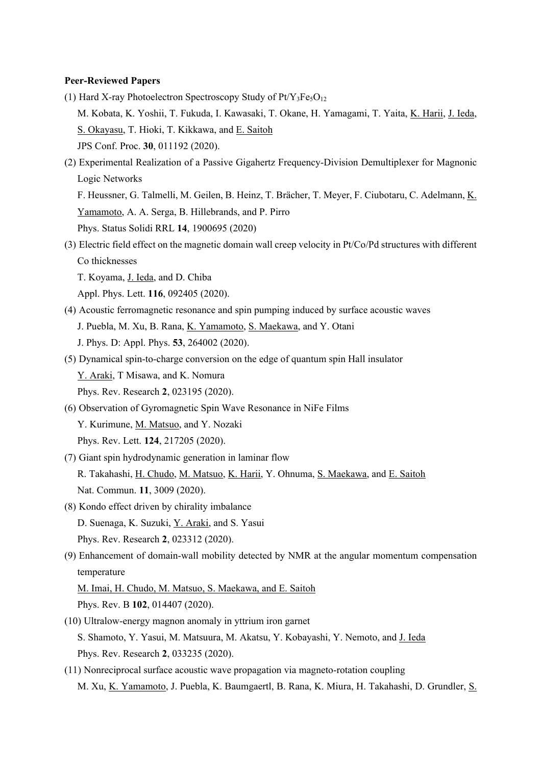#### **Peer-Reviewed Papers**

- (1) Hard X-ray Photoelectron Spectroscopy Study of  $Pt/Y_3Fe<sub>3</sub>O<sub>12</sub>$ M. Kobata, K. Yoshii, T. Fukuda, I. Kawasaki, T. Okane, H. Yamagami, T. Yaita, K. Harii, J. Ieda, S. Okayasu, T. Hioki, T. Kikkawa, and E. Saitoh JPS Conf. Proc. **30**, 011192 (2020).
- (2) Experimental Realization of a Passive Gigahertz Frequency-Division Demultiplexer for Magnonic Logic Networks

F. Heussner, G. Talmelli, M. Geilen, B. Heinz, T. Brächer, T. Meyer, F. Ciubotaru, C. Adelmann, K. Yamamoto, A. A. Serga, B. Hillebrands, and P. Pirro

- Phys. Status Solidi RRL **14**, 1900695 (2020)
- (3) Electric field effect on the magnetic domain wall creep velocity in Pt/Co/Pd structures with different Co thicknesses
	- T. Koyama, J. Ieda, and D. Chiba
	- Appl. Phys. Lett. **116**, 092405 (2020).
- (4) Acoustic ferromagnetic resonance and spin pumping induced by surface acoustic waves
	- J. Puebla, M. Xu, B. Rana, K. Yamamoto, S. Maekawa, and Y. Otani
	- J. Phys. D: Appl. Phys. **53**, 264002 (2020).
- (5) Dynamical spin-to-charge conversion on the edge of quantum spin Hall insulator Y. Araki, T Misawa, and K. Nomura Phys. Rev. Research **2**, 023195 (2020).
- (6) Observation of Gyromagnetic Spin Wave Resonance in NiFe Films Y. Kurimune, M. Matsuo, and Y. Nozaki Phys. Rev. Lett. **124**, 217205 (2020).
- (7) Giant spin hydrodynamic generation in laminar flow R. Takahashi, H. Chudo, M. Matsuo, K. Harii, Y. Ohnuma, S. Maekawa, and E. Saitoh Nat. Commun. **11**, 3009 (2020).
- (8) Kondo effect driven by chirality imbalance D. Suenaga, K. Suzuki, Y. Araki, and S. Yasui Phys. Rev. Research **2**, 023312 (2020).
- (9) Enhancement of domain-wall mobility detected by NMR at the angular momentum compensation temperature

M. Imai, H. Chudo, M. Matsuo, S. Maekawa, and E. Saitoh Phys. Rev. B **102**, 014407 (2020).

- (10) Ultralow-energy magnon anomaly in yttrium iron garnet S. Shamoto, Y. Yasui, M. Matsuura, M. Akatsu, Y. Kobayashi, Y. Nemoto, and J. Ieda Phys. Rev. Research **2**, 033235 (2020).
- (11) Nonreciprocal surface acoustic wave propagation via magneto-rotation coupling M. Xu, K. Yamamoto, J. Puebla, K. Baumgaertl, B. Rana, K. Miura, H. Takahashi, D. Grundler, S.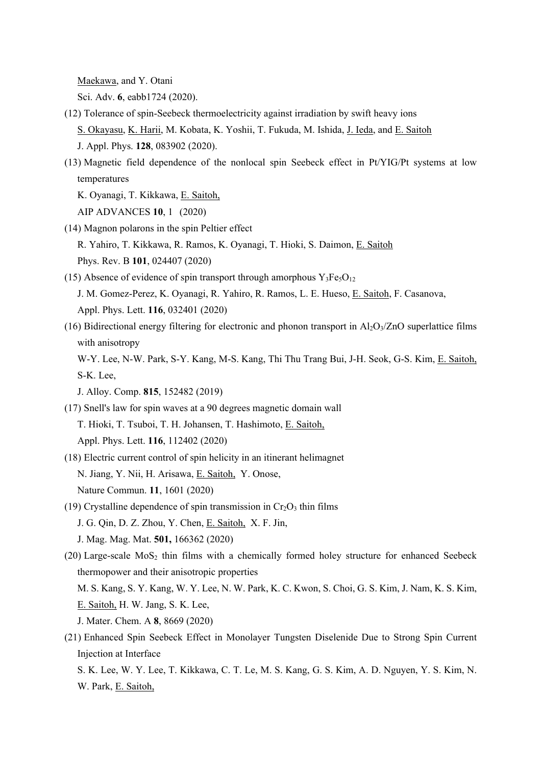Maekawa, and Y. Otani

Sci. Adv. **6**, eabb1724 (2020).

- (12) Tolerance of spin-Seebeck thermoelectricity against irradiation by swift heavy ions S. Okayasu, K. Harii, M. Kobata, K. Yoshii, T. Fukuda, M. Ishida, J. Ieda, and E. Saitoh J. Appl. Phys. **128**, 083902 (2020).
- (13) Magnetic field dependence of the nonlocal spin Seebeck effect in Pt/YIG/Pt systems at low temperatures

K. Oyanagi, T. Kikkawa, E. Saitoh,

AIP ADVANCES **10**, 1 (2020)

(14) Magnon polarons in the spin Peltier effect

R. Yahiro, T. Kikkawa, R. Ramos, K. Oyanagi, T. Hioki, S. Daimon, E. Saitoh Phys. Rev. B **101**, 024407 (2020)

(15) Absence of evidence of spin transport through amorphous  $Y_3Fe<sub>5</sub>O<sub>12</sub>$ 

J. M. Gomez-Perez, K. Oyanagi, R. Yahiro, R. Ramos, L. E. Hueso, E. Saitoh, F. Casanova,

Appl. Phys. Lett. **116**, 032401 (2020)

(16) Bidirectional energy filtering for electronic and phonon transport in  $Al_2O_3/ZnO$  superlattice films with anisotropy

W-Y. Lee, N-W. Park, S-Y. Kang, M-S. Kang, Thi Thu Trang Bui, J-H. Seok, G-S. Kim, E. Saitoh, S-K. Lee,

- J. Alloy. Comp. **815**, 152482 (2019)
- (17) Snell's law for spin waves at a 90 degrees magnetic domain wall

T. Hioki, T. Tsuboi, T. H. Johansen, T. Hashimoto, E. Saitoh,

Appl. Phys. Lett. **116**, 112402 (2020)

- (18) Electric current control of spin helicity in an itinerant helimagnet N. Jiang, Y. Nii, H. Arisawa, E. Saitoh, Y. Onose, Nature Commun. **11**, 1601 (2020)
- (19) Crystalline dependence of spin transmission in  $Cr<sub>2</sub>O<sub>3</sub>$  thin films
	- J. G. Qin, D. Z. Zhou, Y. Chen, E. Saitoh, X. F. Jin,
	- J. Mag. Mag. Mat. **501,** 166362 (2020)
- (20) Large-scale  $MoS<sub>2</sub>$  thin films with a chemically formed holey structure for enhanced Seebeck thermopower and their anisotropic properties

M. S. Kang, S. Y. Kang, W. Y. Lee, N. W. Park, K. C. Kwon, S. Choi, G. S. Kim, J. Nam, K. S. Kim, E. Saitoh, H. W. Jang, S. K. Lee,

J. Mater. Chem. A **8**, 8669 (2020)

(21) Enhanced Spin Seebeck Effect in Monolayer Tungsten Diselenide Due to Strong Spin Current Injection at Interface

S. K. Lee, W. Y. Lee, T. Kikkawa, C. T. Le, M. S. Kang, G. S. Kim, A. D. Nguyen, Y. S. Kim, N. W. Park, E. Saitoh,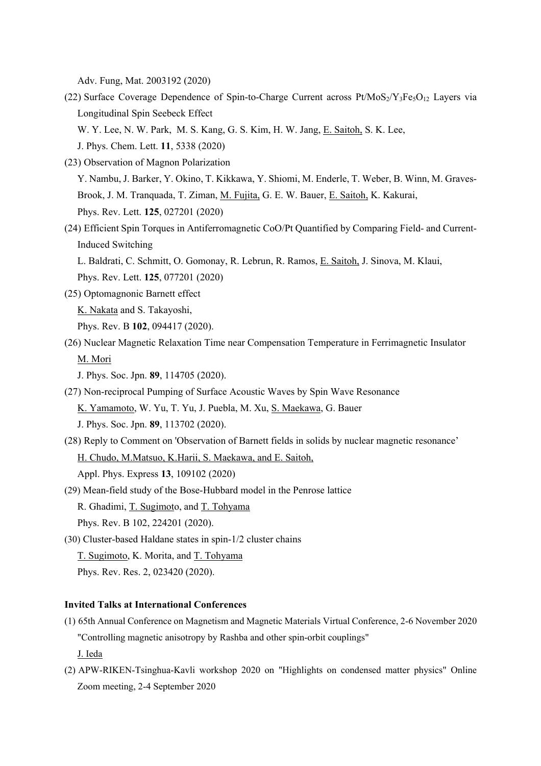Adv. Fung, Mat. 2003192 (2020)

- (22) Surface Coverage Dependence of Spin-to-Charge Current across  $Pt/MoS_2/Y_3Fe<sub>5</sub>O<sub>12</sub>$  Layers via Longitudinal Spin Seebeck Effect W. Y. Lee, N. W. Park, M. S. Kang, G. S. Kim, H. W. Jang, E. Saitoh, S. K. Lee, J. Phys. Chem. Lett. **11**, 5338 (2020)
- (23) Observation of Magnon Polarization

Y. Nambu, J. Barker, Y. Okino, T. Kikkawa, Y. Shiomi, M. Enderle, T. Weber, B. Winn, M. Graves-Brook, J. M. Tranquada, T. Ziman, M. Fujita, G. E. W. Bauer, E. Saitoh, K. Kakurai, Phys. Rev. Lett. **125**, 027201 (2020)

(24) Efficient Spin Torques in Antiferromagnetic CoO/Pt Quantified by Comparing Field- and Current-Induced Switching

L. Baldrati, C. Schmitt, O. Gomonay, R. Lebrun, R. Ramos, E. Saitoh, J. Sinova, M. Klaui, Phys. Rev. Lett. **125**, 077201 (2020)

(25) Optomagnonic Barnett effect

K. Nakata and S. Takayoshi,

Phys. Rev. B **102**, 094417 (2020).

- (26) Nuclear Magnetic Relaxation Time near Compensation Temperature in Ferrimagnetic Insulator M. Mori
	- J. Phys. Soc. Jpn. **89**, 114705 (2020).
- (27) Non-reciprocal Pumping of Surface Acoustic Waves by Spin Wave Resonance

K. Yamamoto, W. Yu, T. Yu, J. Puebla, M. Xu, S. Maekawa, G. Bauer

J. Phys. Soc. Jpn. **89**, 113702 (2020).

- (28) Reply to Comment on 'Observation of Barnett fields in solids by nuclear magnetic resonance' H. Chudo, M.Matsuo, K.Harii, S. Maekawa, and E. Saitoh, Appl. Phys. Express **13**, 109102 (2020)
- (29) Mean-field study of the Bose-Hubbard model in the Penrose lattice R. Ghadimi, T. Sugimoto, and T. Tohyama
	- Phys. Rev. B 102, 224201 (2020).

(30) Cluster-based Haldane states in spin-1/2 cluster chains

T. Sugimoto, K. Morita, and T. Tohyama

Phys. Rev. Res. 2, 023420 (2020).

#### **Invited Talks at International Conferences**

(1) 65th Annual Conference on Magnetism and Magnetic Materials Virtual Conference, 2-6 November 2020 "Controlling magnetic anisotropy by Rashba and other spin-orbit couplings"

J. Ieda

(2) APW-RIKEN-Tsinghua-Kavli workshop 2020 on "Highlights on condensed matter physics" Online Zoom meeting, 2-4 September 2020